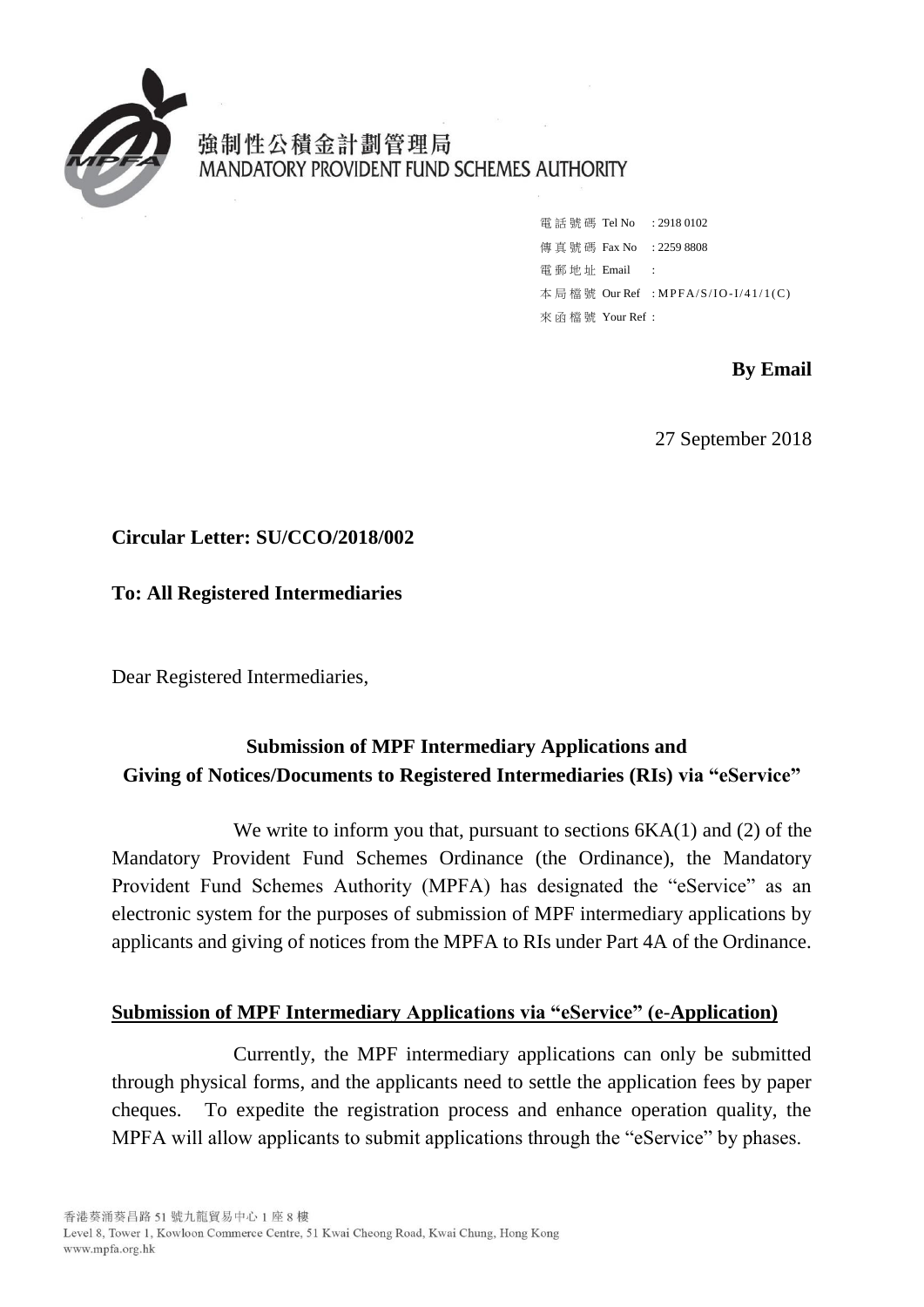

強制性公積金計劃管理局 MANDATORY PROVIDENT FUND SCHEMES AUTHORITY

> 電話號碼 Tel No : 2918 0102 傳真號碼 Fax No : 2259 8808 電 郵 地 址 Email : 本局檔號 Our Ref : MPFA/S/IO-I/41/1(C) 來 函 檔 號 Your Ref :

> > **By Email**

27 September 2018

## **Circular Letter: SU/CCO/2018/002**

#### **To: All Registered Intermediaries**

Dear Registered Intermediaries,

# **Submission of MPF Intermediary Applications and Giving of Notices/Documents to Registered Intermediaries (RIs) via "eService"**

 Mandatory Provident Fund Schemes Ordinance (the Ordinance), the Mandatory Provident Fund Schemes Authority (MPFA) has designated the "eService" as an applicants and giving of notices from the MPFA to RIs under Part 4A of the Ordinance. We write to inform you that, pursuant to sections  $6KA(1)$  and (2) of the electronic system for the purposes of submission of MPF intermediary applications by

## **Submission of MPF Intermediary Applications via "eService" (e**-**Application)**

 through physical forms, and the applicants need to settle the application fees by paper cheques. Currently, the MPF intermediary applications can only be submitted To expedite the registration process and enhance operation quality, the MPFA will allow applicants to submit applications through the "eService" by phases.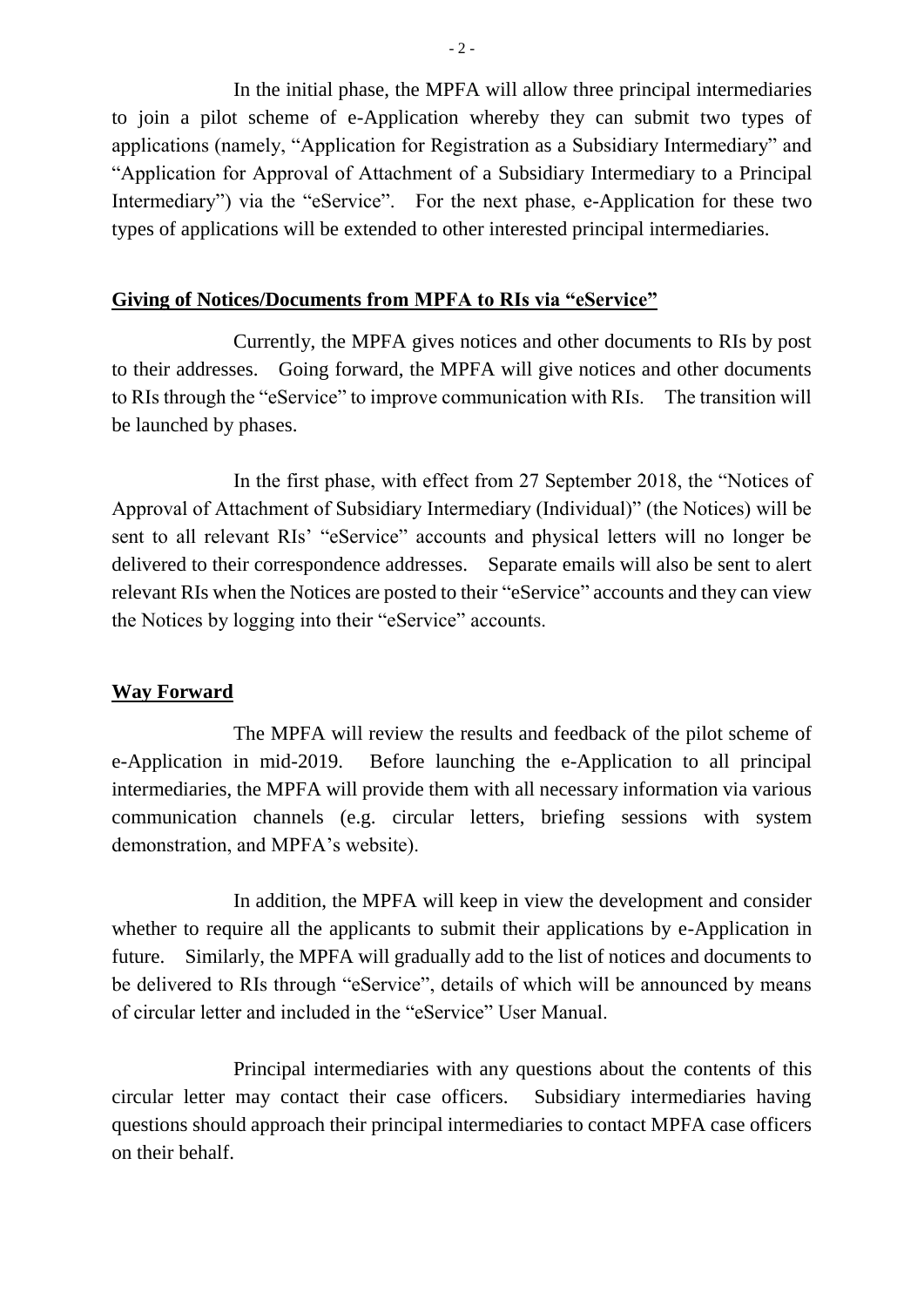to join a pilot scheme of e-Application whereby they can submit two types of applications (namely, "Application for Registration as a Subsidiary Intermediary" and In the initial phase, the MPFA will allow three principal intermediaries "Application for Approval of Attachment of a Subsidiary Intermediary to a Principal Intermediary") via the "eService". For the next phase, e-Application for these two types of applications will be extended to other interested principal intermediaries.

#### **Giving of Notices/Documents from MPFA to RIs via "eService"**

 Currently, the MPFA gives notices and other documents to RIs by post to RIs through the "eService" to improve communication with RIs. The transition will to their addresses. Going forward, the MPFA will give notices and other documents be launched by phases.

 relevant RIs when the Notices are posted to their "eService" accounts and they can view In the first phase, with effect from 27 September 2018, the "Notices of Approval of Attachment of Subsidiary Intermediary (Individual)" (the Notices) will be sent to all relevant RIs' "eService" accounts and physical letters will no longer be delivered to their correspondence addresses. Separate emails will also be sent to alert the Notices by logging into their "eService" accounts.

## **Way Forward**

The MPFA will review the results and feedback of the pilot scheme of e-Application in mid-2019. Before launching the e-Application to all principal intermediaries, the MPFA will provide them with all necessary information via various communication channels (e.g. circular letters, briefing sessions with system demonstration, and MPFA's website).

 In addition, the MPFA will keep in view the development and consider future. Similarly, the MPFA will gradually add to the list of notices and documents to be delivered to RIs through "eService", details of which will be announced by means whether to require all the applicants to submit their applications by e-Application in of circular letter and included in the "eService" User Manual.

 Principal intermediaries with any questions about the contents of this circular letter may contact their case officers. Subsidiary intermediaries having questions should approach their principal intermediaries to contact MPFA case officers on their behalf.